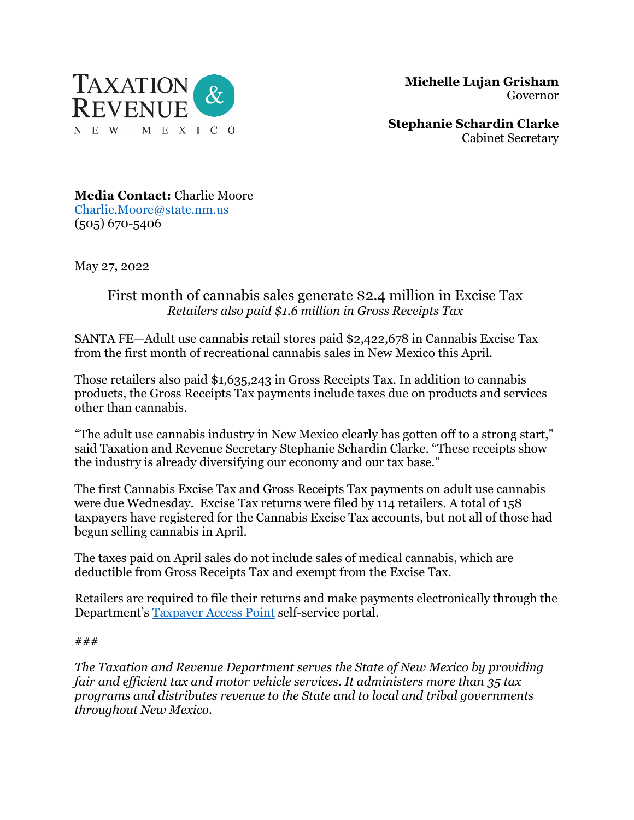

 **Michelle Lujan Grisham** Governor

**Stephanie Schardin Clarke** Cabinet Secretary

**Media Contact:** Charlie Moore [Charlie.Moore@state.nm.us](mailto:Charlie.Moore@state.nm.us) (505) 670-5406

May 27, 2022

## First month of cannabis sales generate \$2.4 million in Excise Tax *Retailers also paid \$1.6 million in Gross Receipts Tax*

SANTA FE—Adult use cannabis retail stores paid \$2,422,678 in Cannabis Excise Tax from the first month of recreational cannabis sales in New Mexico this April.

Those retailers also paid \$1,635,243 in Gross Receipts Tax. In addition to cannabis products, the Gross Receipts Tax payments include taxes due on products and services other than cannabis.

"The adult use cannabis industry in New Mexico clearly has gotten off to a strong start," said Taxation and Revenue Secretary Stephanie Schardin Clarke. "These receipts show the industry is already diversifying our economy and our tax base."

The first Cannabis Excise Tax and Gross Receipts Tax payments on adult use cannabis were due Wednesday. Excise Tax returns were filed by 114 retailers. A total of 158 taxpayers have registered for the Cannabis Excise Tax accounts, but not all of those had begun selling cannabis in April.

The taxes paid on April sales do not include sales of medical cannabis, which are deductible from Gross Receipts Tax and exempt from the Excise Tax.

Retailers are required to file their returns and make payments electronically through the Department's [Taxpayer Access Point](https://tap.state.nm.us/TAP/_/) self-service portal.

## ###

*The Taxation and Revenue Department serves the State of New Mexico by providing fair and efficient tax and motor vehicle services. It administers more than 35 tax programs and distributes revenue to the State and to local and tribal governments throughout New Mexico.*